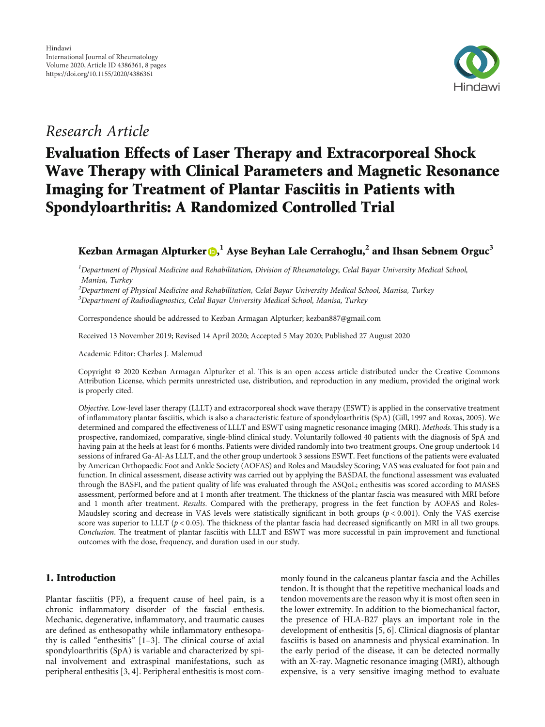

## Research Article

# Evaluation Effects of Laser Therapy and Extracorporeal Shock Wave Therapy with Clinical Parameters and Magnetic Resonance Imaging for Treatment of Plantar Fasciitis in Patients with Spondyloarthritis: A Randomized Controlled Trial

### Kezban Armagan Alpturker **D[,](https://orcid.org/0000-0001-7380-6097)**  $^1$  Ayse Beyhan Lale Cerrahoglu, $^2$  and Ihsan Sebnem Orguc $^3$

<sup>1</sup>Department of Physical Medicine and Rehabilitation, Division of Rheumatology, Celal Bayar University Medical School, Manisa, Turkey

 $^2$ Department of Physical Medicine and Rehabilitation, Celal Bayar University Medical School, Manisa, Turkey

 $^3$ Department of Radiodiagnostics, Celal Bayar University Medical School, Manisa, Turkey

Correspondence should be addressed to Kezban Armagan Alpturker; kezban887@gmail.com

Received 13 November 2019; Revised 14 April 2020; Accepted 5 May 2020; Published 27 August 2020

Academic Editor: Charles J. Malemud

Copyright © 2020 Kezban Armagan Alpturker et al. This is an open access article distributed under the [Creative Commons](https://creativecommons.org/licenses/by/4.0/) [Attribution License](https://creativecommons.org/licenses/by/4.0/), which permits unrestricted use, distribution, and reproduction in any medium, provided the original work is properly cited.

Objective. Low-level laser therapy (LLLT) and extracorporeal shock wave therapy (ESWT) is applied in the conservative treatment of inflammatory plantar fasciitis, which is also a characteristic feature of spondyloarthritis (SpA) (Gill, 1997 and Roxas, 2005). We determined and compared the effectiveness of LLLT and ESWT using magnetic resonance imaging (MRI). Methods. This study is a prospective, randomized, comparative, single-blind clinical study. Voluntarily followed 40 patients with the diagnosis of SpA and having pain at the heels at least for 6 months. Patients were divided randomly into two treatment groups. One group undertook 14 sessions of infrared Ga-Al-As LLLT, and the other group undertook 3 sessions ESWT. Feet functions of the patients were evaluated by American Orthopaedic Foot and Ankle Society (AOFAS) and Roles and Maudsley Scoring; VAS was evaluated for foot pain and function. In clinical assessment, disease activity was carried out by applying the BASDAI, the functional assessment was evaluated through the BASFI, and the patient quality of life was evaluated through the ASQoL; enthesitis was scored according to MASES assessment, performed before and at 1 month after treatment. The thickness of the plantar fascia was measured with MRI before and 1 month after treatment. Results. Compared with the pretherapy, progress in the feet function by AOFAS and Roles-Maudsley scoring and decrease in VAS levels were statistically significant in both groups (*p* < 0*:*001). Only the VAS exercise score was superior to LLLT ( $p < 0.05$ ). The thickness of the plantar fascia had decreased significantly on MRI in all two groups. Conclusion. The treatment of plantar fasciitis with LLLT and ESWT was more successful in pain improvement and functional outcomes with the dose, frequency, and duration used in our study.

#### 1. Introduction

Plantar fasciitis (PF), a frequent cause of heel pain, is a chronic inflammatory disorder of the fascial enthesis. Mechanic, degenerative, inflammatory, and traumatic causes are defined as enthesopathy while inflammatory enthesopathy is called "enthesitis" [[1](#page-6-0)–[3\]](#page-6-0). The clinical course of axial spondyloarthritis (SpA) is variable and characterized by spinal involvement and extraspinal manifestations, such as peripheral enthesitis [[3, 4\]](#page-6-0). Peripheral enthesitis is most commonly found in the calcaneus plantar fascia and the Achilles tendon. It is thought that the repetitive mechanical loads and tendon movements are the reason why it is most often seen in the lower extremity. In addition to the biomechanical factor, the presence of HLA-B27 plays an important role in the development of enthesitis [[5](#page-6-0), [6\]](#page-6-0). Clinical diagnosis of plantar fasciitis is based on anamnesis and physical examination. In the early period of the disease, it can be detected normally with an X-ray. Magnetic resonance imaging (MRI), although expensive, is a very sensitive imaging method to evaluate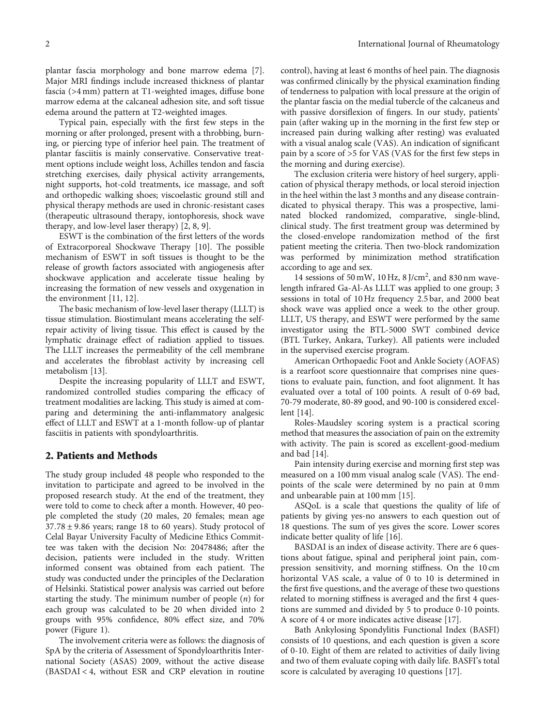plantar fascia morphology and bone marrow edema [[7](#page-6-0)]. Major MRI findings include increased thickness of plantar fascia (>4 mm) pattern at T1-weighted images, diffuse bone marrow edema at the calcaneal adhesion site, and soft tissue edema around the pattern at T2-weighted images.

Typical pain, especially with the first few steps in the morning or after prolonged, present with a throbbing, burning, or piercing type of inferior heel pain. The treatment of plantar fasciitis is mainly conservative. Conservative treatment options include weight loss, Achilles tendon and fascia stretching exercises, daily physical activity arrangements, night supports, hot-cold treatments, ice massage, and soft and orthopedic walking shoes; viscoelastic ground still and physical therapy methods are used in chronic-resistant cases (therapeutic ultrasound therapy, iontophoresis, shock wave therapy, and low-level laser therapy) [\[2](#page-6-0), [8, 9\]](#page-6-0).

ESWT is the combination of the first letters of the words of Extracorporeal Shockwave Therapy [\[10\]](#page-6-0). The possible mechanism of ESWT in soft tissues is thought to be the release of growth factors associated with angiogenesis after shockwave application and accelerate tissue healing by increasing the formation of new vessels and oxygenation in the environment [[11, 12](#page-6-0)].

The basic mechanism of low-level laser therapy (LLLT) is tissue stimulation. Biostimulant means accelerating the selfrepair activity of living tissue. This effect is caused by the lymphatic drainage effect of radiation applied to tissues. The LLLT increases the permeability of the cell membrane and accelerates the fibroblast activity by increasing cell metabolism [[13](#page-6-0)].

Despite the increasing popularity of LLLT and ESWT, randomized controlled studies comparing the efficacy of treatment modalities are lacking. This study is aimed at comparing and determining the anti-inflammatory analgesic effect of LLLT and ESWT at a 1-month follow-up of plantar fasciitis in patients with spondyloarthritis.

#### 2. Patients and Methods

The study group included 48 people who responded to the invitation to participate and agreed to be involved in the proposed research study. At the end of the treatment, they were told to come to check after a month. However, 40 people completed the study (20 males, 20 females; mean age 37*:*78 ± 9*:*86 years; range 18 to 60 years). Study protocol of Celal Bayar University Faculty of Medicine Ethics Committee was taken with the decision No: 20478486; after the decision, patients were included in the study. Written informed consent was obtained from each patient. The study was conducted under the principles of the Declaration of Helsinki. Statistical power analysis was carried out before starting the study. The minimum number of people (*n*) for each group was calculated to be 20 when divided into 2 groups with 95% confidence, 80% effect size, and 70% power (Figure [1](#page-2-0)).

The involvement criteria were as follows: the diagnosis of SpA by the criteria of Assessment of Spondyloarthritis International Society (ASAS) 2009, without the active disease (BASDAI < 4, without ESR and CRP elevation in routine

control), having at least 6 months of heel pain. The diagnosis was confirmed clinically by the physical examination finding of tenderness to palpation with local pressure at the origin of the plantar fascia on the medial tubercle of the calcaneus and with passive dorsiflexion of fingers. In our study, patients' pain (after waking up in the morning in the first few step or increased pain during walking after resting) was evaluated with a visual analog scale (VAS). An indication of significant pain by a score of >5 for VAS (VAS for the first few steps in the morning and during exercise).

The exclusion criteria were history of heel surgery, application of physical therapy methods, or local steroid injection in the heel within the last 3 months and any disease contraindicated to physical therapy. This was a prospective, laminated blocked randomized, comparative, single-blind, clinical study. The first treatment group was determined by the closed-envelope randomization method of the first patient meeting the criteria. Then two-block randomization was performed by minimization method stratification according to age and sex.

14 sessions of 50 mW, 10 Hz, 8 J/cm<sup>2</sup>, and 830 nm wavelength infrared Ga-Al-As LLLT was applied to one group; 3 sessions in total of 10 Hz frequency 2.5 bar, and 2000 beat shock wave was applied once a week to the other group. LLLT, US therapy, and ESWT were performed by the same investigator using the BTL-5000 SWT combined device (BTL Turkey, Ankara, Turkey). All patients were included in the supervised exercise program.

American Orthopaedic Foot and Ankle Society (AOFAS) is a rearfoot score questionnaire that comprises nine questions to evaluate pain, function, and foot alignment. It has evaluated over a total of 100 points. A result of 0-69 bad, 70-79 moderate, 80-89 good, and 90-100 is considered excellent [\[14\]](#page-7-0).

Roles-Maudsley scoring system is a practical scoring method that measures the association of pain on the extremity with activity. The pain is scored as excellent-good-medium and bad [[14](#page-7-0)].

Pain intensity during exercise and morning first step was measured on a 100 mm visual analog scale (VAS). The endpoints of the scale were determined by no pain at 0 mm and unbearable pain at 100 mm [\[15\]](#page-7-0).

ASQoL is a scale that questions the quality of life of patients by giving yes-no answers to each question out of 18 questions. The sum of yes gives the score. Lower scores indicate better quality of life [\[16\]](#page-7-0).

BASDAI is an index of disease activity. There are 6 questions about fatigue, spinal and peripheral joint pain, compression sensitivity, and morning stiffness. On the 10 cm horizontal VAS scale, a value of 0 to 10 is determined in the first five questions, and the average of these two questions related to morning stiffness is averaged and the first 4 questions are summed and divided by 5 to produce 0-10 points. A score of 4 or more indicates active disease [[17](#page-7-0)].

Bath Ankylosing Spondylitis Functional Index (BASFI) consists of 10 questions, and each question is given a score of 0-10. Eight of them are related to activities of daily living and two of them evaluate coping with daily life. BASFI's total score is calculated by averaging 10 questions [\[17\]](#page-7-0).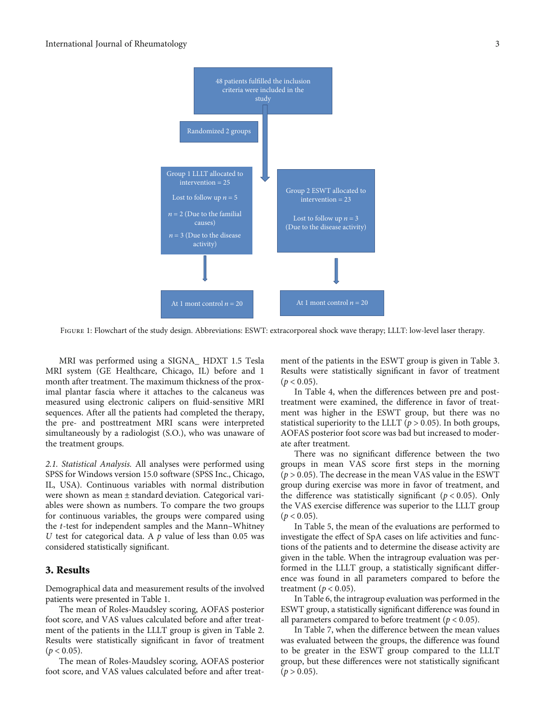<span id="page-2-0"></span>

Figure 1: Flowchart of the study design. Abbreviations: ESWT: extracorporeal shock wave therapy; LLLT: low-level laser therapy.

MRI was performed using a SIGNA\_ HDXT 1.5 Tesla MRI system (GE Healthcare, Chicago, IL) before and 1 month after treatment. The maximum thickness of the proximal plantar fascia where it attaches to the calcaneus was measured using electronic calipers on fluid-sensitive MRI sequences. After all the patients had completed the therapy, the pre- and posttreatment MRI scans were interpreted simultaneously by a radiologist (S.O.), who was unaware of the treatment groups.

2.1. Statistical Analysis. All analyses were performed using SPSS for Windows version 15.0 software (SPSS Inc., Chicago, IL, USA). Continuous variables with normal distribution were shown as mean ± standard deviation. Categorical variables were shown as numbers. To compare the two groups for continuous variables, the groups were compared using the *t*-test for independent samples and the Mann–Whitney *U* test for categorical data. A *p* value of less than 0.05 was considered statistically significant.

#### 3. Results

Demographical data and measurement results of the involved patients were presented in Table [1.](#page-3-0)

The mean of Roles-Maudsley scoring, AOFAS posterior foot score, and VAS values calculated before and after treatment of the patients in the LLLT group is given in Table [2.](#page-3-0) Results were statistically significant in favor of treatment  $(p < 0.05)$ .

The mean of Roles-Maudsley scoring, AOFAS posterior foot score, and VAS values calculated before and after treatment of the patients in the ESWT group is given in Table [3.](#page-3-0) Results were statistically significant in favor of treatment  $(p < 0.05)$ .

In Table [4](#page-3-0), when the differences between pre and posttreatment were examined, the difference in favor of treatment was higher in the ESWT group, but there was no statistical superiority to the LLLT ( $p > 0.05$ ). In both groups, AOFAS posterior foot score was bad but increased to moderate after treatment.

There was no significant difference between the two groups in mean VAS score first steps in the morning (*p* > 0*:*05). The decrease in the mean VAS value in the ESWT group during exercise was more in favor of treatment, and the difference was statistically significant (*p* < 0*:*05). Only the VAS exercise difference was superior to the LLLT group  $(p < 0.05)$ .

In Table [5,](#page-4-0) the mean of the evaluations are performed to investigate the effect of SpA cases on life activities and functions of the patients and to determine the disease activity are given in the table. When the intragroup evaluation was performed in the LLLT group, a statistically significant difference was found in all parameters compared to before the treatment ( $p < 0.05$ ).

In Table [6](#page-4-0), the intragroup evaluation was performed in the ESWT group, a statistically significant difference was found in all parameters compared to before treatment ( $p < 0.05$ ).

In Table [7,](#page-4-0) when the difference between the mean values was evaluated between the groups, the difference was found to be greater in the ESWT group compared to the LLLT group, but these differences were not statistically significant  $(p > 0.05)$ .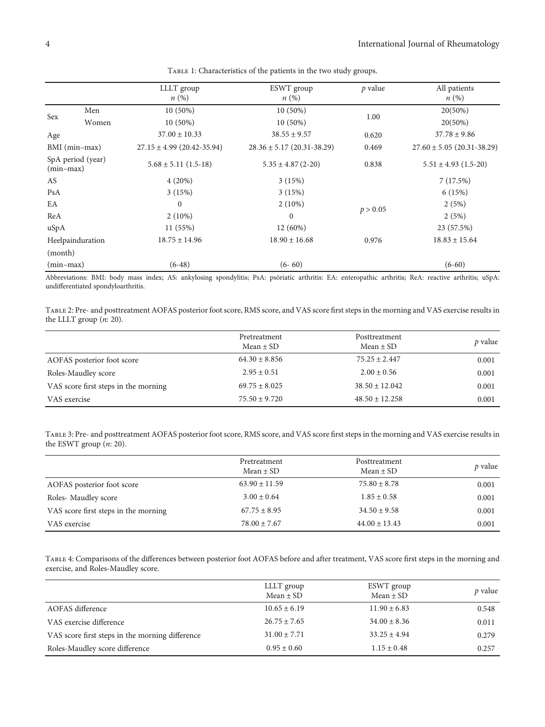<span id="page-3-0"></span>

|             |                   | LLLT group                     | ESWT group                       | $p$ value | All patients                   |
|-------------|-------------------|--------------------------------|----------------------------------|-----------|--------------------------------|
|             |                   | $n\left(\%\right)$             | $n\left(\%\right)$               |           | $n(\%)$                        |
| Sex         | Men               | $10(50\%)$                     | 10 (50%)                         |           | 20(50%)                        |
|             | Women             | $10(50\%)$                     | $10(50\%)$                       | 1.00      | $20(50\%)$                     |
| Age         |                   | $37.00 \pm 10.33$              | $38.55 \pm 9.57$                 | 0.620     | $37.78 \pm 9.86$               |
|             | BMI (min-max)     | $27.15 \pm 4.99$ (20.42-35.94) | $28.36 \pm 5.17 (20.31 - 38.29)$ | 0.469     | $27.60 \pm 5.05$ (20.31-38.29) |
| $(min-max)$ | SpA period (year) | $5.68 \pm 5.11$ (1.5-18)       | $5.35 \pm 4.87(2-20)$            | 0.838     | $5.51 \pm 4.93$ (1.5-20)       |
| AS          |                   | 4(20%)                         | 3(15%)                           |           | 7(17.5%)                       |
| PsA         |                   | 3(15%)                         | 3(15%)                           |           | 6(15%)                         |
| EA          |                   | $\mathbf{0}$                   | $2(10\%)$                        |           | 2(5%)                          |
| ReA         |                   | $2(10\%)$                      | $\mathbf{0}$                     | p > 0.05  | 2(5%)                          |
| uSpA        |                   | 11 (55%)                       | 12 (60%)                         |           | 23 (57.5%)                     |
|             | Heelpainduration  | $18.75 \pm 14.96$              | $18.90 \pm 16.68$                | 0.976     | $18.83 \pm 15.64$              |
| (month)     |                   |                                |                                  |           |                                |
| $(min-max)$ |                   | $(6-48)$                       | $(6 - 60)$                       |           | $(6-60)$                       |

TABLE 1: Characteristics of the patients in the two study groups.

Abbreviations: BMI: body mass index; AS: ankylosing spondylitis; PsA: psöriatic arthritis: EA: enteropathic arthritis; ReA: reactive arthritis; uSpA: undifferentiated spondyloarthritis.

Table 2: Pre- and posttreatment AOFAS posterior foot score, RMS score, and VAS score first steps in the morning and VAS exercise results in the LLLT group (*n*: 20).

|                                      | Pretreatment<br>Mean $\pm$ SD | Posttreatment<br>Mean $\pm$ SD | <i>p</i> value |
|--------------------------------------|-------------------------------|--------------------------------|----------------|
| AOFAS posterior foot score           | $64.30 \pm 8.856$             | $75.25 \pm 2.447$              | 0.001          |
| Roles-Maudley score                  | $2.95 \pm 0.51$               | $2.00 \pm 0.56$                | 0.001          |
| VAS score first steps in the morning | $69.75 \pm 8.025$             | $38.50 \pm 12.042$             | 0.001          |
| VAS exercise                         | $75.50 + 9.720$               | $48.50 \pm 12.258$             | 0.001          |

Table 3: Pre- and posttreatment AOFAS posterior foot score, RMS score, and VAS score first steps in the morning and VAS exercise results in the ESWT group (*n*: 20).

|                                      | Pretreatment<br>$Mean \pm SD$ | Posttreatment<br>Mean $\pm$ SD | p value |
|--------------------------------------|-------------------------------|--------------------------------|---------|
| AOFAS posterior foot score           | $63.90 \pm 11.59$             | $75.80 \pm 8.78$               | 0.001   |
| Roles-Maudley score                  | $3.00 \pm 0.64$               | $1.85 \pm 0.58$                | 0.001   |
| VAS score first steps in the morning | $67.75 \pm 8.95$              | $34.50 \pm 9.58$               | 0.001   |
| VAS exercise                         | $78.00 \pm 7.67$              | $44.00 \pm 13.43$              | 0.001   |

Table 4: Comparisons of the differences between posterior foot AOFAS before and after treatment, VAS score first steps in the morning and exercise, and Roles-Maudley score.

|                                                 | LLLT group<br>$Mean \pm SD$ | ESWT group<br>$Mean \pm SD$ | p value |
|-------------------------------------------------|-----------------------------|-----------------------------|---------|
| AOFAS difference                                | $10.65 \pm 6.19$            | $11.90 \pm 6.83$            | 0.548   |
| VAS exercise difference                         | $26.75 \pm 7.65$            | $34.00 \pm 8.36$            | 0.011   |
| VAS score first steps in the morning difference | $31.00 \pm 7.71$            | $33.25 \pm 4.94$            | 0.279   |
| Roles-Maudley score difference                  | $0.95 \pm 0.60$             | $1.15 \pm 0.48$             | 0.257   |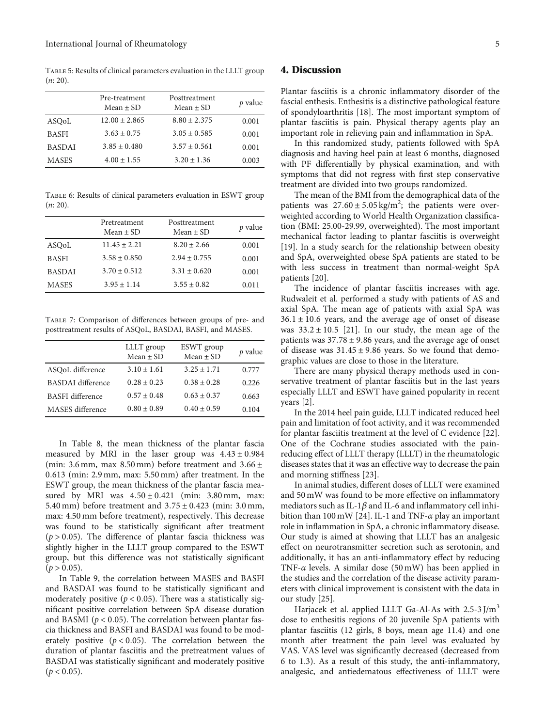<span id="page-4-0"></span>Table 5: Results of clinical parameters evaluation in the LLLT group  $(n: 20)$ .

|               | Pre-treatment<br>Mean $\pm$ SD | Posttreatment<br>Mean $\pm$ SD | p value |
|---------------|--------------------------------|--------------------------------|---------|
| ASOoL         | $12.00 \pm 2.865$              | $8.80 + 2.375$                 | 0.001   |
| <b>BASFI</b>  | $3.63 \pm 0.75$                | $3.05 \pm 0.585$               | 0.001   |
| <b>BASDAI</b> | $3.85 \pm 0.480$               | $3.57 \pm 0.561$               | 0.001   |
| <b>MASES</b>  | $4.00 \pm 1.55$                | $3.20 \pm 1.36$                | 0.003   |

Table 6: Results of clinical parameters evaluation in ESWT group (*n*: 20).

|               | Pretreatment<br>Mean $\pm$ SD | Posttreatment<br>Mean $\pm$ SD | $p$ value |
|---------------|-------------------------------|--------------------------------|-----------|
| ASOoL         | $11.45 \pm 2.21$              | $8.20 \pm 2.66$                | 0.001     |
| <b>BASFI</b>  | $3.58 + 0.850$                | $2.94 + 0.755$                 | 0.001     |
| <b>BASDAI</b> | $3.70 \pm 0.512$              | $3.31 \pm 0.620$               | 0.001     |
| <b>MASES</b>  | $3.95 \pm 1.14$               | $3.55 \pm 0.82$                | 0.011     |

Table 7: Comparison of differences between groups of pre- and posttreatment results of ASQoL, BASDAI, BASFI, and MASES.

|                          | LLLT group<br>Mean $\pm$ SD | ESWT group<br>$Mean \pm SD$ | p value |
|--------------------------|-----------------------------|-----------------------------|---------|
| ASOoL difference         | $3.10 \pm 1.61$             | $3.25 \pm 1.71$             | 0.777   |
| <b>BASDAI</b> difference | $0.28 \pm 0.23$             | $0.38 + 0.28$               | 0.226   |
| <b>BASFI</b> difference  | $0.57 + 0.48$               | $0.63 + 0.37$               | 0.663   |
| MASES difference         | $0.80 \pm 0.89$             | $0.40 \pm 0.59$             | 0.104   |

In Table [8,](#page-5-0) the mean thickness of the plantar fascia measured by MRI in the laser group was 4*:*43 ± 0*:*984 (min:  $3.6$  mm, max  $8.50$  mm) before treatment and  $3.66 \pm$ 0*:*613 (min: 2.9 mm, max: 5.50 mm) after treatment. In the ESWT group, the mean thickness of the plantar fascia measured by MRI was 4*:*50 ± 0*:*421 (min: 3.80 mm, max: 5.40 mm) before treatment and 3*:*75 ± 0*:*423 (min: 3.0 mm, max: 4.50 mm before treatment), respectively. This decrease was found to be statistically significant after treatment  $(p > 0.05)$ . The difference of plantar fascia thickness was slightly higher in the LLLT group compared to the ESWT group, but this difference was not statistically significant  $(p > 0.05)$ .

In Table [9,](#page-5-0) the correlation between MASES and BASFI and BASDAI was found to be statistically significant and moderately positive ( $p < 0.05$ ). There was a statistically significant positive correlation between SpA disease duration and BASMI ( $p < 0.05$ ). The correlation between plantar fascia thickness and BASFI and BASDAI was found to be moderately positive  $(p < 0.05)$ . The correlation between the duration of plantar fasciitis and the pretreatment values of BASDAI was statistically significant and moderately positive  $(p < 0.05)$ .

#### 4. Discussion

Plantar fasciitis is a chronic inflammatory disorder of the fascial enthesis. Enthesitis is a distinctive pathological feature of spondyloarthritis [[18](#page-7-0)]. The most important symptom of plantar fasciitis is pain. Physical therapy agents play an important role in relieving pain and inflammation in SpA.

In this randomized study, patients followed with SpA diagnosis and having heel pain at least 6 months, diagnosed with PF differentially by physical examination, and with symptoms that did not regress with first step conservative treatment are divided into two groups randomized.

The mean of the BMI from the demographical data of the patients was  $27.60 \pm 5.05 \text{ kg/m}^2$ ; the patients were overweighted according to World Health Organization classification (BMI: 25.00-29.99, overweighted). The most important mechanical factor leading to plantar fasciitis is overweight [\[19\]](#page-7-0). In a study search for the relationship between obesity and SpA, overweighted obese SpA patients are stated to be with less success in treatment than normal-weight SpA patients [[20](#page-7-0)].

The incidence of plantar fasciitis increases with age. Rudwaleit et al. performed a study with patients of AS and axial SpA. The mean age of patients with axial SpA was 36*:*1 ± 10*:*6 years, and the average age of onset of disease was  $33.2 \pm 10.5$  [\[21\]](#page-7-0). In our study, the mean age of the patients was 37*:*78 ± 9*:*86 years, and the average age of onset of disease was 31*:*45 ± 9*:*86 years. So we found that demographic values are close to those in the literature.

There are many physical therapy methods used in conservative treatment of plantar fasciitis but in the last years especially LLLT and ESWT have gained popularity in recent years [[2](#page-6-0)].

In the 2014 heel pain guide, LLLT indicated reduced heel pain and limitation of foot activity, and it was recommended for plantar fasciitis treatment at the level of C evidence [[22](#page-7-0)]. One of the Cochrane studies associated with the painreducing effect of LLLT therapy (LLLT) in the rheumatologic diseases states that it was an effective way to decrease the pain and morning stiffness [\[23\]](#page-7-0).

In animal studies, different doses of LLLT were examined and 50 mW was found to be more effective on inflammatory mediators such as IL-1*β* and IL-6 and inflammatory cell inhibition than 100 mW [[24](#page-7-0)]. IL-1 and TNF-*α* play an important role in inflammation in SpA, a chronic inflammatory disease. Our study is aimed at showing that LLLT has an analgesic effect on neurotransmitter secretion such as serotonin, and additionally, it has an anti-inflammatory effect by reducing TNF-*α* levels. A similar dose (50 mW) has been applied in the studies and the correlation of the disease activity parameters with clinical improvement is consistent with the data in our study [\[25\]](#page-7-0).

Harjacek et al. applied LLLT Ga-Al-As with 2.5-3 J/m<sup>3</sup> dose to enthesitis regions of 20 juvenile SpA patients with plantar fasciitis (12 girls, 8 boys, mean age 11.4) and one month after treatment the pain level was evaluated by VAS. VAS level was significantly decreased (decreased from 6 to 1.3). As a result of this study, the anti-inflammatory, analgesic, and antiedematous effectiveness of LLLT were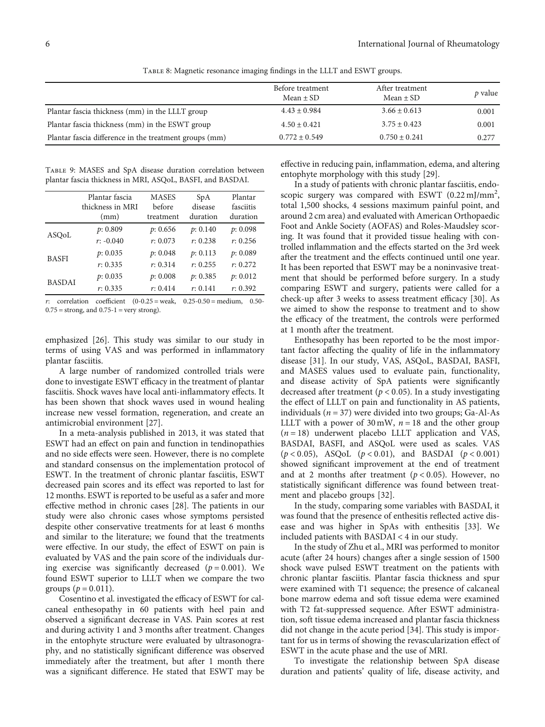<span id="page-5-0"></span>

|                                                        | Before treatment<br>Mean $\pm$ SD | After treatment<br>Mean $\pm$ SD | $p$ value |
|--------------------------------------------------------|-----------------------------------|----------------------------------|-----------|
| Plantar fascia thickness (mm) in the LLLT group        | $4.43 \pm 0.984$                  | $3.66 \pm 0.613$                 | 0.001     |
| Plantar fascia thickness (mm) in the ESWT group        | $4.50 \pm 0.421$                  | $3.75 \pm 0.423$                 | 0.001     |
| Plantar fascia difference in the treatment groups (mm) | $0.772 \pm 0.549$                 | $0.750 \pm 0.241$                | 0.277     |

Table 8: Magnetic resonance imaging findings in the LLLT and ESWT groups.

Table 9: MASES and SpA disease duration correlation between plantar fascia thickness in MRI, ASQoL, BASFI, and BASDAI.

|               | Plantar fascia<br>thickness in MRI<br>(mm) | <b>MASES</b><br>before<br>treatment | SpA<br>disease<br>duration | Plantar<br>fasciitis<br>duration |
|---------------|--------------------------------------------|-------------------------------------|----------------------------|----------------------------------|
| ASOoL         | p: 0.809                                   | p: 0.656                            | p: 0.140                   | p: 0.098                         |
|               | $r: -0.040$                                | r: 0.073                            | r: 0.238                   | r: 0.256                         |
| <b>BASFI</b>  | p: 0.035                                   | p: 0.048                            | p: 0.113                   | p: 0.089                         |
|               | r: 0.335                                   | r: 0.314                            | r: 0.255                   | r: 0.272                         |
| <b>BASDAI</b> | p: 0.035                                   | p: 0.008                            | p: 0.385                   | p: 0.012                         |
|               | r: 0.335                                   | r: 0.414                            | r: 0.141                   | r: 0.392                         |
|               |                                            |                                     |                            |                                  |

*r*: correlation coefficient  $(0-0.25)$  = weak,  $0.25-0.50$  = medium, 0.50- $0.75$  = strong, and  $0.75 - 1$  = very strong).

emphasized [\[26\]](#page-7-0). This study was similar to our study in terms of using VAS and was performed in inflammatory plantar fasciitis.

A large number of randomized controlled trials were done to investigate ESWT efficacy in the treatment of plantar fasciitis. Shock waves have local anti-inflammatory effects. It has been shown that shock waves used in wound healing increase new vessel formation, regeneration, and create an antimicrobial environment [[27\]](#page-7-0).

In a meta-analysis published in 2013, it was stated that ESWT had an effect on pain and function in tendinopathies and no side effects were seen. However, there is no complete and standard consensus on the implementation protocol of ESWT. In the treatment of chronic plantar fasciitis, ESWT decreased pain scores and its effect was reported to last for 12 months. ESWT is reported to be useful as a safer and more effective method in chronic cases [[28](#page-7-0)]. The patients in our study were also chronic cases whose symptoms persisted despite other conservative treatments for at least 6 months and similar to the literature; we found that the treatments were effective. In our study, the effect of ESWT on pain is evaluated by VAS and the pain score of the individuals during exercise was significantly decreased  $(p = 0.001)$ . We found ESWT superior to LLLT when we compare the two groups ( $p = 0.011$ ).

Cosentino et al. investigated the efficacy of ESWT for calcaneal enthesopathy in 60 patients with heel pain and observed a significant decrease in VAS. Pain scores at rest and during activity 1 and 3 months after treatment. Changes in the entophyte structure were evaluated by ultrasonography, and no statistically significant difference was observed immediately after the treatment, but after 1 month there was a significant difference. He stated that ESWT may be

effective in reducing pain, inflammation, edema, and altering entophyte morphology with this study [[29](#page-7-0)].

In a study of patients with chronic plantar fasciitis, endoscopic surgery was compared with ESWT  $(0.22 \text{ mJ/mm}^2)$ , total 1,500 shocks, 4 sessions maximum painful point, and around 2 cm area) and evaluated with American Orthopaedic Foot and Ankle Society (AOFAS) and Roles-Maudsley scoring. It was found that it provided tissue healing with controlled inflammation and the effects started on the 3rd week after the treatment and the effects continued until one year. It has been reported that ESWT may be a noninvasive treatment that should be performed before surgery. In a study comparing ESWT and surgery, patients were called for a check-up after 3 weeks to assess treatment efficacy [\[30\]](#page-7-0). As we aimed to show the response to treatment and to show the efficacy of the treatment, the controls were performed at 1 month after the treatment.

Enthesopathy has been reported to be the most important factor affecting the quality of life in the inflammatory disease [\[31\]](#page-7-0). In our study, VAS, ASQoL, BASDAI, BASFI, and MASES values used to evaluate pain, functionality, and disease activity of SpA patients were significantly decreased after treatment (*p* < 0*:*05). In a study investigating the effect of LLLT on pain and functionality in AS patients, individuals (*n* = 37) were divided into two groups; Ga-Al-As LLLT with a power of  $30 \text{ mW}$ ,  $n = 18$  and the other group  $(n = 18)$  underwent placebo LLLT application and VAS, BASDAI, BASFI, and ASQoL were used as scales. VAS (*p* < 0*:*05), ASQoL (*p* < 0*:*01), and BASDAI (*p* < 0*:*001) showed significant improvement at the end of treatment and at 2 months after treatment ( $p < 0.05$ ). However, no statistically significant difference was found between treatment and placebo groups [\[32\]](#page-7-0).

In the study, comparing some variables with BASDAI, it was found that the presence of enthesitis reflected active disease and was higher in SpAs with enthesitis [\[33\]](#page-7-0). We included patients with BASDAI < 4 in our study.

In the study of Zhu et al., MRI was performed to monitor acute (after 24 hours) changes after a single session of 1500 shock wave pulsed ESWT treatment on the patients with chronic plantar fasciitis. Plantar fascia thickness and spur were examined with T1 sequence; the presence of calcaneal bone marrow edema and soft tissue edema were examined with T2 fat-suppressed sequence. After ESWT administration, soft tissue edema increased and plantar fascia thickness did not change in the acute period [\[34\]](#page-7-0). This study is important for us in terms of showing the revascularization effect of ESWT in the acute phase and the use of MRI.

To investigate the relationship between SpA disease duration and patients' quality of life, disease activity, and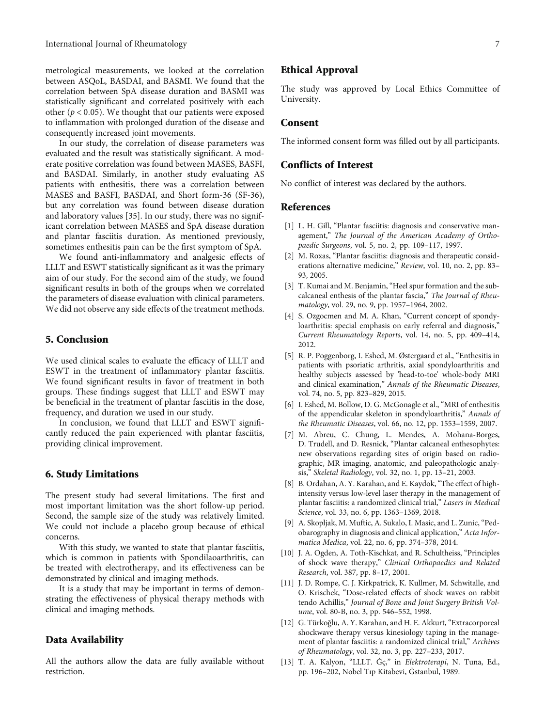<span id="page-6-0"></span>metrological measurements, we looked at the correlation between ASQoL, BASDAI, and BASMI. We found that the correlation between SpA disease duration and BASMI was statistically significant and correlated positively with each other ( $p < 0.05$ ). We thought that our patients were exposed to inflammation with prolonged duration of the disease and consequently increased joint movements.

In our study, the correlation of disease parameters was evaluated and the result was statistically significant. A moderate positive correlation was found between MASES, BASFI, and BASDAI. Similarly, in another study evaluating AS patients with enthesitis, there was a correlation between MASES and BASFI, BASDAI, and Short form-36 (SF-36), but any correlation was found between disease duration and laboratory values [\[35\]](#page-7-0). In our study, there was no significant correlation between MASES and SpA disease duration and plantar fasciitis duration. As mentioned previously, sometimes enthesitis pain can be the first symptom of SpA.

We found anti-inflammatory and analgesic effects of LLLT and ESWT statistically significant as it was the primary aim of our study. For the second aim of the study, we found significant results in both of the groups when we correlated the parameters of disease evaluation with clinical parameters. We did not observe any side effects of the treatment methods.

#### 5. Conclusion

We used clinical scales to evaluate the efficacy of LLLT and ESWT in the treatment of inflammatory plantar fasciitis. We found significant results in favor of treatment in both groups. These findings suggest that LLLT and ESWT may be beneficial in the treatment of plantar fasciitis in the dose, frequency, and duration we used in our study.

In conclusion, we found that LLLT and ESWT significantly reduced the pain experienced with plantar fasciitis, providing clinical improvement.

#### 6. Study Limitations

The present study had several limitations. The first and most important limitation was the short follow-up period. Second, the sample size of the study was relatively limited. We could not include a placebo group because of ethical concerns.

With this study, we wanted to state that plantar fasciitis, which is common in patients with Spondilaoarthritis, can be treated with electrotherapy, and its effectiveness can be demonstrated by clinical and imaging methods.

It is a study that may be important in terms of demonstrating the effectiveness of physical therapy methods with clinical and imaging methods.

#### Data Availability

All the authors allow the data are fully available without restriction.

#### Ethical Approval

The study was approved by Local Ethics Committee of University.

#### Consent

The informed consent form was filled out by all participants.

#### Conflicts of Interest

No conflict of interest was declared by the authors.

#### References

- [1] L. H. Gill, "Plantar fasciitis: diagnosis and conservative management," The Journal of the American Academy of Orthopaedic Surgeons, vol. 5, no. 2, pp. 109–117, 1997.
- [2] M. Roxas, "Plantar fasciitis: diagnosis and therapeutic considerations alternative medicine," Review, vol. 10, no. 2, pp. 83– 93, 2005.
- [3] T. Kumai and M. Benjamin, "Heel spur formation and the subcalcaneal enthesis of the plantar fascia," The Journal of Rheumatology, vol. 29, no. 9, pp. 1957–1964, 2002.
- [4] S. Ozgocmen and M. A. Khan, "Current concept of spondyloarthritis: special emphasis on early referral and diagnosis," Current Rheumatology Reports, vol. 14, no. 5, pp. 409–414, 2012.
- [5] R. P. Poggenborg, I. Eshed, M. Østergaard et al., "Enthesitis in patients with psoriatic arthritis, axial spondyloarthritis and healthy subjects assessed by 'head-to-toe' whole-body MRI and clinical examination," Annals of the Rheumatic Diseases, vol. 74, no. 5, pp. 823–829, 2015.
- [6] I. Eshed, M. Bollow, D. G. McGonagle et al., "MRI of enthesitis of the appendicular skeleton in spondyloarthritis," Annals of the Rheumatic Diseases, vol. 66, no. 12, pp. 1553–1559, 2007.
- [7] M. Abreu, C. Chung, L. Mendes, A. Mohana-Borges, D. Trudell, and D. Resnick, "Plantar calcaneal enthesophytes: new observations regarding sites of origin based on radiographic, MR imaging, anatomic, and paleopathologic analysis," Skeletal Radiology, vol. 32, no. 1, pp. 13–21, 2003.
- [8] B. Ordahan, A. Y. Karahan, and E. Kaydok,"The effect of highintensity versus low-level laser therapy in the management of plantar fasciitis: a randomized clinical trial," Lasers in Medical Science, vol. 33, no. 6, pp. 1363–1369, 2018.
- [9] A. Skopljak, M. Muftic, A. Sukalo, I. Masic, and L. Zunic, "Pedobarography in diagnosis and clinical application," Acta Informatica Medica, vol. 22, no. 6, pp. 374–378, 2014.
- [10] J. A. Ogden, A. Toth-Kischkat, and R. Schultheiss, "Principles of shock wave therapy," Clinical Orthopaedics and Related Research, vol. 387, pp. 8–17, 2001.
- [11] J. D. Rompe, C. J. Kirkpatrick, K. Kullmer, M. Schwitalle, and O. Krischek, "Dose-related effects of shock waves on rabbit tendo Achillis," Journal of Bone and Joint Surgery British Volume, vol. 80-B, no. 3, pp. 546–552, 1998.
- [12] G. Türkoğlu, A. Y. Karahan, and H. E. Akkurt, "Extracorporeal shockwave therapy versus kinesiology taping in the management of plantar fasciitis: a randomized clinical trial," Archives of Rheumatology, vol. 32, no. 3, pp. 227–233, 2017.
- [13] T. A. Kalyon, "LLLT. Ġç," in Elektroterapi, N. Tuna, Ed., pp. 196–202, Nobel Tıp Kitabevi, Ġstanbul, 1989.